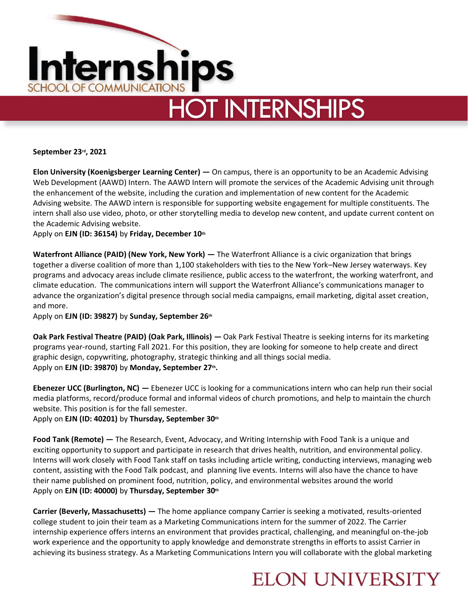

# **HOT INTERNSHIPS**

**September 23rd, 2021** 

**Elon University (Koenigsberger Learning Center) —** On campus, there is an opportunity to be an Academic Advising Web Development (AAWD) Intern. The AAWD Intern will promote the services of the Academic Advising unit through the enhancement of the website, including the curation and implementation of new content for the Academic Advising website. The AAWD intern is responsible for supporting website engagement for multiple constituents. The intern shall also use video, photo, or other storytelling media to develop new content, and update current content on the Academic Advising website.

Apply on **EJN (ID: 36154)** by **Friday, December 10th**

**Waterfront Alliance (PAID) (New York, New York) —** The Waterfront Alliance is a civic organization that brings together a diverse coalition of more than 1,100 stakeholders with ties to the New York–New Jersey waterways. Key programs and advocacy areas include climate resilience, public access to the waterfront, the working waterfront, and climate education. The communications intern will support the Waterfront Alliance's communications manager to advance the organization's digital presence through social media campaigns, email marketing, digital asset creation, and more.

Apply on **EJN (ID: 39827)** by **Sunday, September 26th**

**Oak Park Festival Theatre (PAID) (Oak Park, Illinois) —** Oak Park Festival Theatre is seeking interns for its marketing programs year-round, starting Fall 2021. For this position, they are looking for someone to help create and direct graphic design, copywriting, photography, strategic thinking and all things social media. Apply on **EJN (ID: 39870)** by **Monday, September 27th .**

**Ebenezer UCC (Burlington, NC) —** Ebenezer UCC is looking for a communications intern who can help run their social media platforms, record/produce formal and informal videos of church promotions, and help to maintain the church website. This position is for the fall semester.

Apply on **EJN (ID: 40201)** by **Thursday, September 30th**

**Food Tank (Remote) —** The Research, Event, Advocacy, and Writing Internship with Food Tank is a unique and exciting opportunity to support and participate in research that drives health, nutrition, and environmental policy. Interns will work closely with Food Tank staff on tasks including article writing, conducting interviews, managing web content, assisting with the Food Talk podcast, and planning live events. Interns will also have the chance to have their name published on prominent food, nutrition, policy, and environmental websites around the world Apply on **EJN (ID: 40000)** by **Thursday, September 30th**

**Carrier (Beverly, Massachusetts) —** The home appliance company Carrier is seeking a motivated, results-oriented college student to join their team as a Marketing Communications intern for the summer of 2022. The Carrier internship experience offers interns an environment that provides practical, challenging, and meaningful on-the-job work experience and the opportunity to apply knowledge and demonstrate strengths in efforts to assist Carrier in achieving its business strategy. As a Marketing Communications Intern you will collaborate with the global marketing

### **ELON UNIVERSITY**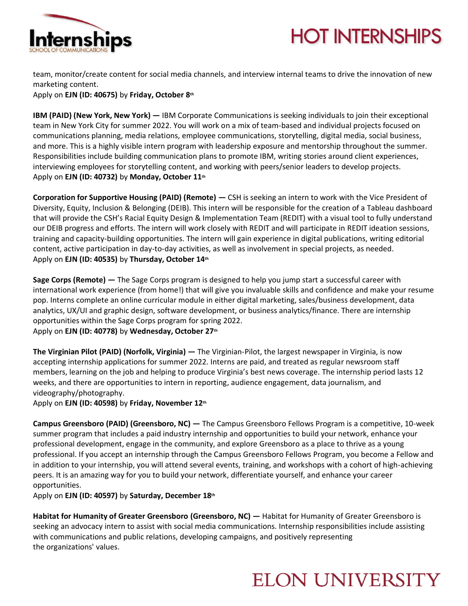

## **HOT INTERNSHIPS**

team, monitor/create content for social media channels, and interview internal teams to drive the innovation of new marketing content.

Apply on **EJN (ID: 40675)** by **Friday, October 8th**

**IBM (PAID) (New York, New York) —** IBM Corporate Communications is seeking individuals to join their exceptional team in New York City for summer 2022. You will work on a mix of team-based and individual projects focused on communications planning, media relations, employee communications, storytelling, digital media, social business, and more. This is a highly visible intern program with leadership exposure and mentorship throughout the summer. Responsibilities include building communication plans to promote IBM, writing stories around client experiences, interviewing employees for storytelling content, and working with peers/senior leaders to develop projects. Apply on **EJN (ID: 40732)** by **Monday, October 11th**

**Corporation for Supportive Housing (PAID) (Remote) —** CSH is seeking an intern to work with the Vice President of Diversity, Equity, Inclusion & Belonging (DEIB). This intern will be responsible for the creation of a Tableau dashboard that will provide the CSH's Racial Equity Design & Implementation Team (REDIT) with a visual tool to fully understand our DEIB progress and efforts. The intern will work closely with REDIT and will participate in REDIT ideation sessions, training and capacity-building opportunities. The intern will gain experience in digital publications, writing editorial content, active participation in day-to-day activities, as well as involvement in special projects, as needed. Apply on **EJN (ID: 40535)** by **Thursday, October 14th**

**Sage Corps (Remote) —** The Sage Corps program is designed to help you jump start a successful career with international work experience (from home!) that will give you invaluable skills and confidence and make your resume pop. Interns complete an online curricular module in either digital marketing, sales/business development, data analytics, UX/UI and graphic design, software development, or business analytics/finance. There are internship opportunities within the Sage Corps program for spring 2022. Apply on **EJN (ID: 40778)** by **Wednesday, October 27th**

**The Virginian Pilot (PAID) (Norfolk, Virginia) —** The Virginian-Pilot, the largest newspaper in Virginia, is now accepting internship applications for summer 2022. Interns are paid, and treated as regular newsroom staff members, learning on the job and helping to produce Virginia's best news coverage. The internship period lasts 12 weeks, and there are opportunities to intern in reporting, audience engagement, data journalism, and videography/photography.

Apply on **EJN (ID: 40598)** by **Friday, November 12th**

**Campus Greensboro (PAID) (Greensboro, NC) —** The Campus Greensboro Fellows Program is a competitive, 10-week summer program that includes a paid industry internship and opportunities to build your network, enhance your professional development, engage in the community, and explore Greensboro as a place to thrive as a young professional. If you accept an internship through the Campus Greensboro Fellows Program, you become a Fellow and in addition to your internship, you will attend several events, training, and workshops with a cohort of high-achieving peers. It is an amazing way for you to build your network, differentiate yourself, and enhance your career opportunities.

Apply on **EJN (ID: 40597)** by **Saturday, December 18th**

**Habitat for Humanity of Greater Greensboro (Greensboro, NC) —** Habitat for Humanity of Greater Greensboro is seeking an advocacy intern to assist with social media communications. Internship responsibilities include assisting with communications and public relations, developing campaigns, and positively representing the organizations' values.

### **ELON UNIVERSITY**